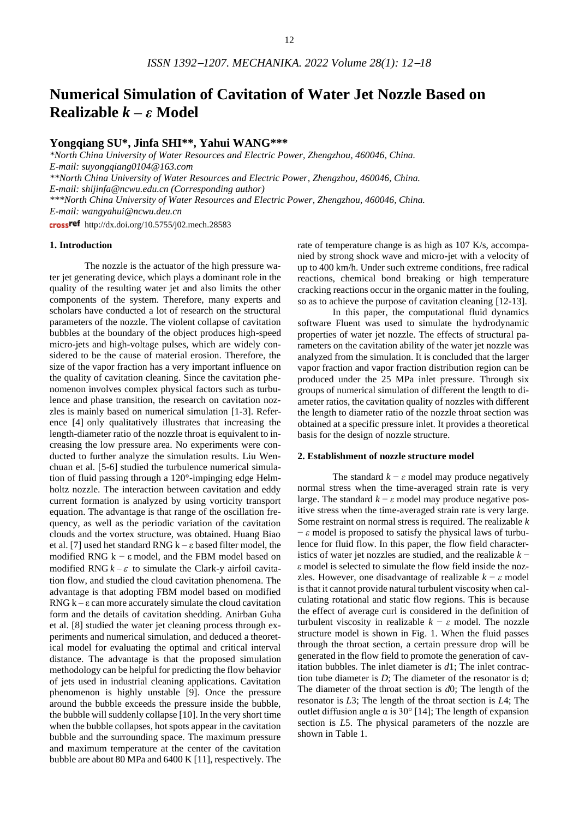# **Numerical Simulation of Cavitation of Water Jet Nozzle Based on Realizable** *k* **–** *ε* **Model**

# **Yongqiang SU\*, Jinfa SHI\*\*, Yahui WANG\*\*\***

*\*North China University of Water Resources and Electric Power, Zhengzhou, 460046, China. E-mail: suyongqiang0104@163.com \*\*North China University of Water Resources and Electric Power, Zhengzhou, 460046, China. E-mail: shijinfa@ncwu.edu.cn (Corresponding author) \*\*\*North China University of Water Resources and Electric Power, Zhengzhou, 460046, China. E-mail: wangyahui@ncwu.deu.cn* crossref http://dx.doi.org/10.5755/j02.mech.28583

#### **1. Introduction**

The nozzle is the actuator of the high pressure water jet generating device, which plays a dominant role in the quality of the resulting water jet and also limits the other components of the system. Therefore, many experts and scholars have conducted a lot of research on the structural parameters of the nozzle. The violent collapse of cavitation bubbles at the boundary of the object produces high-speed micro-jets and high-voltage pulses, which are widely considered to be the cause of material erosion. Therefore, the size of the vapor fraction has a very important influence on the quality of cavitation cleaning. Since the cavitation phenomenon involves complex physical factors such as turbulence and phase transition, the research on cavitation nozzles is mainly based on numerical simulation [1-3]. Reference [4] only qualitatively illustrates that increasing the length-diameter ratio of the nozzle throat is equivalent to increasing the low pressure area. No experiments were conducted to further analyze the simulation results. Liu Wenchuan et al. [5-6] studied the turbulence numerical simulation of fluid passing through a 120°-impinging edge Helmholtz nozzle. The interaction between cavitation and eddy current formation is analyzed by using vorticity transport equation. The advantage is that range of the oscillation frequency, as well as the periodic variation of the cavitation clouds and the vortex structure, was obtained. Huang Biao et al. [7] used het standard RNG k – ε based filter model, the modified RNG  $k - \varepsilon$  model, and the FBM model based on modified RNG  $k - \varepsilon$  to simulate the Clark-y airfoil cavitation flow, and studied the cloud cavitation phenomena. The advantage is that adopting FBM model based on modified RNG  $k - \epsilon$  can more accurately simulate the cloud cavitation form and the details of cavitation shedding. Anirban Guha et al. [8] studied the water jet cleaning process through experiments and numerical simulation, and deduced a theoretical model for evaluating the optimal and critical interval distance. The advantage is that the proposed simulation methodology can be helpful for predicting the flow behavior of jets used in industrial cleaning applications. Cavitation phenomenon is highly unstable [9]. Once the pressure around the bubble exceeds the pressure inside the bubble, the bubble will suddenly collapse [10]. In the very short time when the bubble collapses, hot spots appear in the cavitation bubble and the surrounding space. The maximum pressure and maximum temperature at the center of the cavitation bubble are about 80 MPa and 6400 K [11], respectively. The

rate of temperature change is as high as 107 K/s, accompanied by strong shock wave and micro-jet with a velocity of up to 400 km/h. Under such extreme conditions, free radical reactions, chemical bond breaking or high temperature cracking reactions occur in the organic matter in the fouling, so as to achieve the purpose of cavitation cleaning [12-13].

In this paper, the computational fluid dynamics software Fluent was used to simulate the hydrodynamic properties of water jet nozzle. The effects of structural parameters on the cavitation ability of the water jet nozzle was analyzed from the simulation. It is concluded that the larger vapor fraction and vapor fraction distribution region can be produced under the 25 MPa inlet pressure. Through six groups of numerical simulation of different the length to diameter ratios, the cavitation quality of nozzles with different the length to diameter ratio of the nozzle throat section was obtained at a specific pressure inlet. It provides a theoretical basis for the design of nozzle structure.

## **2. Establishment of nozzle structure model**

The standard  $k - \varepsilon$  model may produce negatively normal stress when the time-averaged strain rate is very large. The standard  $k - \varepsilon$  model may produce negative positive stress when the time-averaged strain rate is very large. Some restraint on normal stress is required. The realizable *k* − *ε* model is proposed to satisfy the physical laws of turbulence for fluid flow. In this paper, the flow field characteristics of water jet nozzles are studied, and the realizable *k* − *ε* model is selected to simulate the flow field inside the nozzles. However, one disadvantage of realizable  $k - \varepsilon$  model is that it cannot provide natural turbulent viscosity when calculating rotational and static flow regions. This is because the effect of average curl is considered in the definition of turbulent viscosity in realizable  $k - \varepsilon$  model. The nozzle structure model is shown in Fig. 1. When the fluid passes through the throat section, a certain pressure drop will be generated in the flow field to promote the generation of cavitation bubbles. The inlet diameter is *d*1; The inlet contraction tube diameter is *D*; The diameter of the resonator is d; The diameter of the throat section is *d*0; The length of the resonator is *L*3; The length of the throat section is *L*4; The outlet diffusion angle  $\alpha$  is 30° [14]; The length of expansion section is *L*5. The physical parameters of the nozzle are shown in Table 1.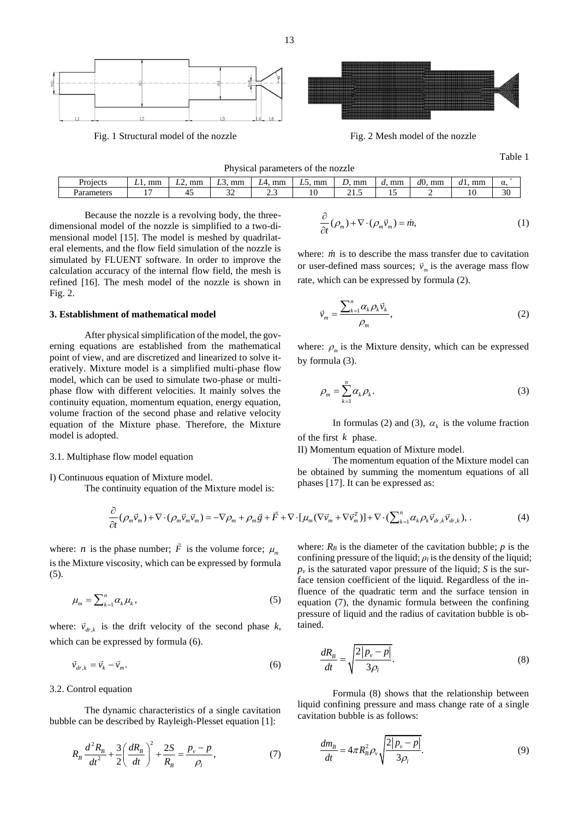

Table 1

| Physical parameters of the nozzle |           |           |    |               |          |       |          |           |    |    |  |
|-----------------------------------|-----------|-----------|----|---------------|----------|-------|----------|-----------|----|----|--|
| Projects                          | mm<br>L1. | mm<br>LL. | mm | l. mm<br>LA 1 | mm<br>LS | mm    | mm<br>а. | d0.<br>mm | mm | α. |  |
| Parameters                        |           | 4         |    | ں ۔           |          | ن. ۱۰ |          |           |    | 30 |  |

Because the nozzle is a revolving body, the threedimensional model of the nozzle is simplified to a two-dimensional model [15]. The model is meshed by quadrilateral elements, and the flow field simulation of the nozzle is simulated by FLUENT software. In order to improve the calculation accuracy of the internal flow field, the mesh is refined [16]. The mesh model of the nozzle is shown in Fig. 2.

### **3. Establishment of mathematical model**

After physical simplification of the model, the governing equations are established from the mathematical point of view, and are discretized and linearized to solve iteratively. Mixture model is a simplified multi-phase flow model, which can be used to simulate two-phase or multiphase flow with different velocities. It mainly solves the continuity equation, momentum equation, energy equation, volume fraction of the second phase and relative velocity equation of the Mixture phase. Therefore, the Mixture model is adopted.

#### 3.1. Multiphase flow model equation

I) Continuous equation of Mixture model.

The continuity equation of the Mixture model is:

$$
\begin{aligned}\n\text{phases [17]. It can be expressed as:} \\
\text{continuity equation of the Mixture model is:} \\
\frac{\partial}{\partial t} (\rho_m \vec{v}_m) + \nabla \cdot (\rho_m \vec{v}_m \vec{v}_m) = -\nabla \rho_m + \rho_m \vec{g} + \vec{F} + \nabla \cdot [\mu_m (\nabla \vec{v}_m + \nabla \vec{v}_m^T)] + \nabla \cdot (\sum_{k=1}^n \alpha_k \rho_k \vec{v}_{dr,k} \vec{v}_{dr,k}), \n\end{aligned} \tag{4}
$$

where: *n* is the phase number;  $\vec{F}$  is the volume force;  $\mu_m$ is the Mixture viscosity, which can be expressed by formula (5).

$$
\mu_m = \sum_{k=1}^n \alpha_k \mu_k,\tag{5}
$$

where:  $\vec{v}_{dr,k}$  is the drift velocity of the second phase *k*, which can be expressed by formula (6).

$$
\vec{v}_{dr,k} = \vec{v}_k - \vec{v}_m. \tag{6}
$$

#### 3.2. Control equation

The dynamic characteristics of a single cavitation bubble can be described by Rayleigh-Plesset equation [1]:

$$
R_B \frac{d^2 R_B}{dt^2} + \frac{3}{2} \left( \frac{dR_B}{dt} \right)^2 + \frac{2S}{R_B} = \frac{p_v - p}{\rho_l},
$$
(7)

$$
\frac{\partial}{\partial t}(\rho_m) + \nabla \cdot (\rho_m \vec{v}_m) = \dot{m},\tag{1}
$$

where: *in* is to describe the mass transfer due to cavitation or user-defined mass sources;  $\vec{v}_m$  is the average mass flow rate, which can be expressed by formula (2).

$$
\vec{\nu}_m = \frac{\sum_{k=1}^n \alpha_k \rho_k \vec{\nu}_k}{\rho_m},\tag{2}
$$

where:  $\rho_m$  is the Mixture density, which can be expressed by formula (3).

$$
\rho_m = \sum_{k=1}^n \alpha_k \rho_k. \tag{3}
$$

In formulas (2) and (3),  $\alpha_k$  is the volume fraction of the first *k* phase.

II) Momentum equation of Mixture model.

The momentum equation of the Mixture model can be obtained by summing the momentum equations of all phases [17]. It can be expressed as:

where: 
$$
R_B
$$
 is the diameter of the cavitation bubble;  $p$  is the  
confirming pressure of the liquid;  $\rho_l$  is the density of the liquid;  
 $p_\nu$  is the saturated vapor pressure of the liquid;  $S$  is the sur-  
face tension coefficient of the liquid. Regardless of the in-  
fluence of the quadratic term and the surface tension in  
equation (7), the dynamic formula between the confining  
pressure of liquid and the radius of cavitation bubble is ob-  
tained.

$$
\frac{dR_B}{dt} = \sqrt{\frac{2|p_v - p|}{3\rho_l}}.\tag{8}
$$

Formula (8) shows that the relationship between liquid confining pressure and mass change rate of a single cavitation bubble is as follows:

$$
\frac{dm_B}{dt} = 4\pi R_B^2 \rho_v \sqrt{\frac{2|p_v - p|}{3\rho_t}}.\tag{9}
$$

13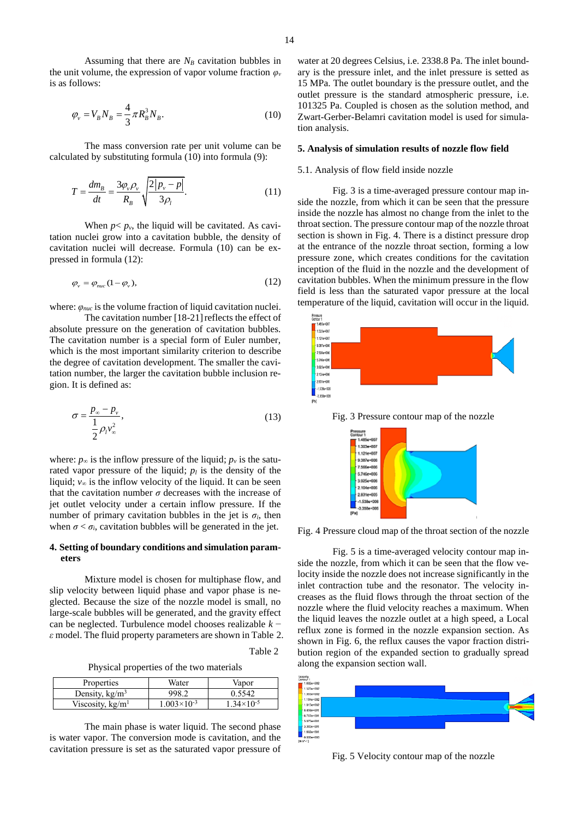Assuming that there are  $N_B$  cavitation bubbles in the unit volume, the expression of vapor volume fraction *φ<sup>ν</sup>* is as follows:

$$
\varphi_{v} = V_{B} N_{B} = \frac{4}{3} \pi R_{B}^{3} N_{B}.
$$
\n(10)

The mass conversion rate per unit volume can be calculated by substituting formula (10) into formula (9):

$$
T = \frac{dm_B}{dt} = \frac{3\varphi_v \rho_v}{R_B} \sqrt{\frac{2|p_v - p|}{3\rho_l}}.
$$
\n(11)

When  $p < p<sub>v</sub>$ , the liquid will be cavitated. As cavitation nuclei grow into a cavitation bubble, the density of cavitation nuclei will decrease. Formula (10) can be expressed in formula (12):

$$
\varphi_{\nu} = \varphi_{nuc} (1 - \varphi_{\nu}), \qquad (12)
$$

where: *φnuc* is the volume fraction of liquid cavitation nuclei.

The cavitation number [18-21] reflects the effect of absolute pressure on the generation of cavitation bubbles. The cavitation number is a special form of Euler number, which is the most important similarity criterion to describe the degree of cavitation development. The smaller the cavitation number, the larger the cavitation bubble inclusion region. It is defined as:

$$
\sigma = \frac{p_{\infty} - p_{\nu}}{\frac{1}{2} \rho_{l} v_{\infty}^{2}},
$$
\n(13)

where:  $p_{\infty}$  is the inflow pressure of the liquid;  $p_{\nu}$  is the saturated vapor pressure of the liquid;  $p_l$  is the density of the liquid; *v*<sup>∞</sup> is the inflow velocity of the liquid. It can be seen that the cavitation number  $\sigma$  decreases with the increase of jet outlet velocity under a certain inflow pressure. If the number of primary cavitation bubbles in the jet is  $\sigma_i$ , then when  $\sigma < \sigma_i$ , cavitation bubbles will be generated in the jet.

#### **4. Setting of boundary conditions and simulation parameters**

Mixture model is chosen for multiphase flow, and slip velocity between liquid phase and vapor phase is neglected. Because the size of the nozzle model is small, no large-scale bubbles will be generated, and the gravity effect can be neglected. Turbulence model chooses realizable *k* − *ε* model. The fluid property parameters are shown in Table 2.

Table 2

Physical properties of the two materials

| Properties               | Water                | Vapor               |  |  |
|--------------------------|----------------------|---------------------|--|--|
| Density, $\text{kg/m}^3$ | 998.2                | 0.5542              |  |  |
| Viscosity, $kg/m1$       | $1.003\times10^{-3}$ | $1.34\times10^{-5}$ |  |  |

The main phase is water liquid. The second phase is water vapor. The conversion mode is cavitation, and the cavitation pressure is set as the saturated vapor pressure of

#### **5. Analysis of simulation results of nozzle flow field**

#### 5.1. Analysis of flow field inside nozzle

Fig. 3 is a time-averaged pressure contour map inside the nozzle, from which it can be seen that the pressure inside the nozzle has almost no change from the inlet to the throat section. The pressure contour map of the nozzle throat section is shown in Fig. 4. There is a distinct pressure drop at the entrance of the nozzle throat section, forming a low pressure zone, which creates conditions for the cavitation inception of the fluid in the nozzle and the development of cavitation bubbles. When the minimum pressure in the flow field is less than the saturated vapor pressure at the local temperature of the liquid, cavitation will occur in the liquid.



Fig. 3 Pressure contour map of the nozzle



Fig. 4 Pressure cloud map of the throat section of the nozzle

Fig. 5 is a time-averaged velocity contour map inside the nozzle, from which it can be seen that the flow velocity inside the nozzle does not increase significantly in the inlet contraction tube and the resonator. The velocity increases as the fluid flows through the throat section of the nozzle where the fluid velocity reaches a maximum. When the liquid leaves the nozzle outlet at a high speed, a Local reflux zone is formed in the nozzle expansion section. As shown in Fig. 6, the reflux causes the vapor fraction distribution region of the expanded section to gradually spread along the expansion section wall.



Fig. 5 Velocity contour map of the nozzle

tion analysis.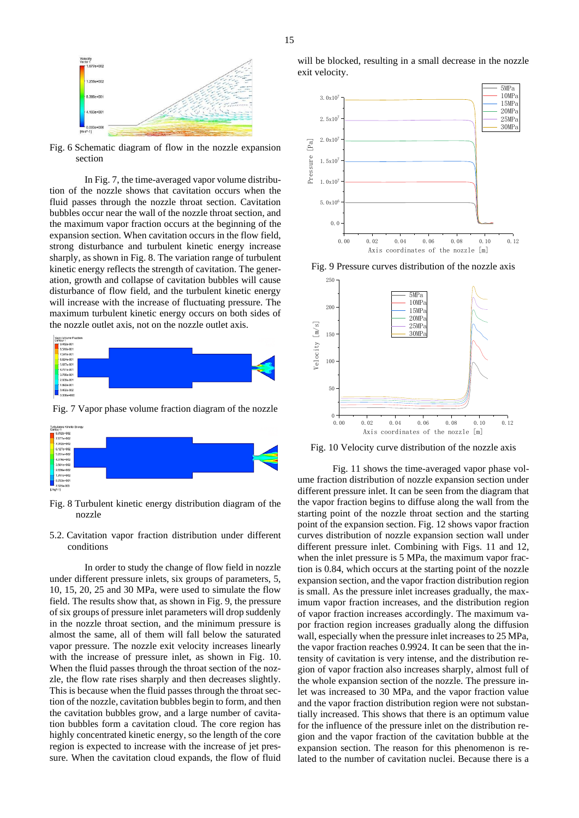

Fig. 6 Schematic diagram of flow in the nozzle expansion section

In Fig. 7, the time-averaged vapor volume distribution of the nozzle shows that cavitation occurs when the fluid passes through the nozzle throat section. Cavitation bubbles occur near the wall of the nozzle throat section, and the maximum vapor fraction occurs at the beginning of the expansion section. When cavitation occurs in the flow field, strong disturbance and turbulent kinetic energy increase sharply, as shown in Fig. 8. The variation range of turbulent kinetic energy reflects the strength of cavitation. The generation, growth and collapse of cavitation bubbles will cause disturbance of flow field, and the turbulent kinetic energy will increase with the increase of fluctuating pressure. The maximum turbulent kinetic energy occurs on both sides of the nozzle outlet axis, not on the nozzle outlet axis.



Fig. 7 Vapor phase volume fraction diagram of the nozzle



Fig. 8 Turbulent kinetic energy distribution diagram of the nozzle

5.2. Cavitation vapor fraction distribution under different conditions

In order to study the change of flow field in nozzle under different pressure inlets, six groups of parameters, 5, 10, 15, 20, 25 and 30 MPa, were used to simulate the flow field. The results show that, as shown in Fig. 9, the pressure of six groups of pressure inlet parameters will drop suddenly in the nozzle throat section, and the minimum pressure is almost the same, all of them will fall below the saturated vapor pressure. The nozzle exit velocity increases linearly with the increase of pressure inlet, as shown in Fig. 10. When the fluid passes through the throat section of the nozzle, the flow rate rises sharply and then decreases slightly. This is because when the fluid passes through the throat section of the nozzle, cavitation bubbles begin to form, and then the cavitation bubbles grow, and a large number of cavitation bubbles form a cavitation cloud. The core region has highly concentrated kinetic energy, so the length of the core region is expected to increase with the increase of jet pressure. When the cavitation cloud expands, the flow of fluid



Fig. 9 Pressure curves distribution of the nozzle axis



Fig. 10 Velocity curve distribution of the nozzle axis

Fig. 11 shows the time-averaged vapor phase volume fraction distribution of nozzle expansion section under different pressure inlet. It can be seen from the diagram that the vapor fraction begins to diffuse along the wall from the starting point of the nozzle throat section and the starting point of the expansion section. Fig. 12 shows vapor fraction curves distribution of nozzle expansion section wall under different pressure inlet. Combining with Figs. 11 and 12, when the inlet pressure is 5 MPa, the maximum vapor fraction is 0.84, which occurs at the starting point of the nozzle expansion section, and the vapor fraction distribution region is small. As the pressure inlet increases gradually, the maximum vapor fraction increases, and the distribution region of vapor fraction increases accordingly. The maximum vapor fraction region increases gradually along the diffusion wall, especially when the pressure inlet increases to 25 MPa, the vapor fraction reaches 0.9924. It can be seen that the intensity of cavitation is very intense, and the distribution region of vapor fraction also increases sharply, almost full of the whole expansion section of the nozzle. The pressure inlet was increased to 30 MPa, and the vapor fraction value and the vapor fraction distribution region were not substantially increased. This shows that there is an optimum value for the influence of the pressure inlet on the distribution region and the vapor fraction of the cavitation bubble at the expansion section. The reason for this phenomenon is related to the number of cavitation nuclei. Because there is a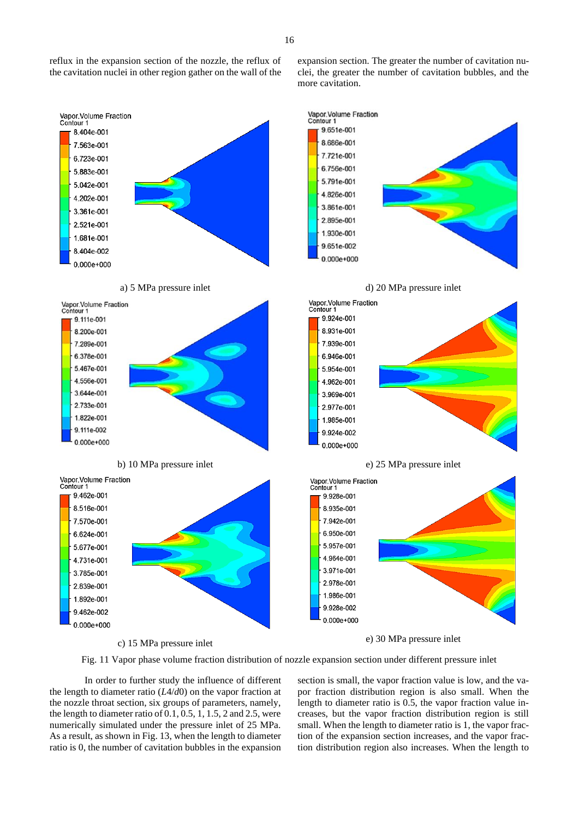reflux in the expansion section of the nozzle, the reflux of the cavitation nuclei in other region gather on the wall of the expansion section. The greater the number of cavitation nuclei, the greater the number of cavitation bubbles, and the more cavitation.



c) 15 MPa pressure inlet

e) 30 MPa pressure inlet

Fig. 11 Vapor phase volume fraction distribution of nozzle expansion section under different pressure inlet

In order to further study the influence of different the length to diameter ratio (*L*4/*d*0) on the vapor fraction at the nozzle throat section, six groups of parameters, namely, the length to diameter ratio of 0.1, 0.5, 1, 1.5, 2 and 2.5, were numerically simulated under the pressure inlet of 25 MPa. As a result, as shown in Fig. 13, when the length to diameter ratio is 0, the number of cavitation bubbles in the expansion section is small, the vapor fraction value is low, and the vapor fraction distribution region is also small. When the length to diameter ratio is 0.5, the vapor fraction value increases, but the vapor fraction distribution region is still small. When the length to diameter ratio is 1, the vapor fraction of the expansion section increases, and the vapor fraction distribution region also increases. When the length to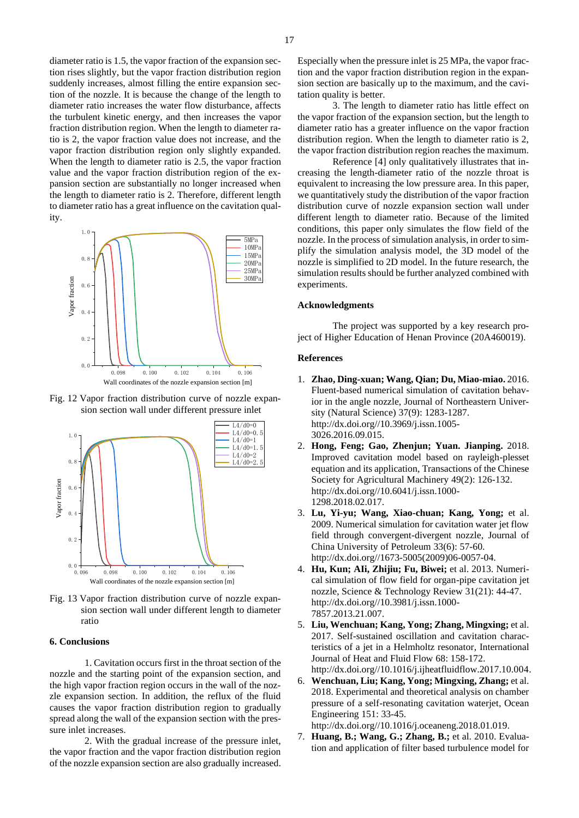diameter ratio is 1.5, the vapor fraction of the expansion section rises slightly, but the vapor fraction distribution region suddenly increases, almost filling the entire expansion section of the nozzle. It is because the change of the length to diameter ratio increases the water flow disturbance, affects the turbulent kinetic energy, and then increases the vapor fraction distribution region. When the length to diameter ratio is 2, the vapor fraction value does not increase, and the vapor fraction distribution region only slightly expanded. When the length to diameter ratio is 2.5, the vapor fraction value and the vapor fraction distribution region of the expansion section are substantially no longer increased when the length to diameter ratio is 2. Therefore, different length to diameter ratio has a great influence on the cavitation quality.



Fig. 12 Vapor fraction distribution curve of nozzle expansion section wall under different pressure inlet





## **6. Conclusions**

1. Cavitation occurs first in the throat section of the nozzle and the starting point of the expansion section, and the high vapor fraction region occurs in the wall of the nozzle expansion section. In addition, the reflux of the fluid causes the vapor fraction distribution region to gradually spread along the wall of the expansion section with the pressure inlet increases.

2. With the gradual increase of the pressure inlet, the vapor fraction and the vapor fraction distribution region of the nozzle expansion section are also gradually increased.

3. The length to diameter ratio has little effect on the vapor fraction of the expansion section, but the length to diameter ratio has a greater influence on the vapor fraction distribution region. When the length to diameter ratio is 2, the vapor fraction distribution region reaches the maximum.

Reference [4] only qualitatively illustrates that increasing the length-diameter ratio of the nozzle throat is equivalent to increasing the low pressure area. In this paper, we quantitatively study the distribution of the vapor fraction distribution curve of nozzle expansion section wall under different length to diameter ratio. Because of the limited conditions, this paper only simulates the flow field of the nozzle. In the process of simulation analysis, in order to sim-5MPa  $p_{\text{15MPa}}^{\text{10MPa}}$  plify the simulation analysis model, the 3D model of the  $20MPa$  nozzle is simplified to 2D model. In the future research, the  $\frac{25MPa}{20MPa}$  simulation results should be further analyzed combined with experiments.

#### **Acknowledgments**

The project was supported by a key research project of Higher Education of Henan Province (20A460019).

# **References**

- 1. **Zhao, Ding-xuan; Wang, Qian; Du, Miao-miao.** 2016. Fluent-based numerical simulation of cavitation behavior in the angle nozzle, Journal of Northeastern University (Natural Science) 37(9): 1283-1287. [http://dx.doi.org//10.3969/j.issn.1005-](http://dx.doi.org/10.3969/j.issn.1005-3026.2016.09.015) [3026.2016.09.015.](http://dx.doi.org/10.3969/j.issn.1005-3026.2016.09.015)
- 2. **Hong, Feng; Gao, Zhenjun; Yuan. Jianping.** 2018. L4/d0=1.5 Improved cavitation model based on rayleigh-plesset equation and its application, Transactions of the Chinese Society for Agricultural Machinery 49(2): 126-132. http://dx.doi.org//10.6041/j.issn.1000- 1298.2018.02.017.
	- 3. **Lu, Yi-yu; Wang, Xiao-chuan; Kang, Yong;** et al. 2009. Numerical simulation for cavitation water jet flow field through convergent-divergent nozzle, Journal of China University of Petroleum 33(6): 57-60. http://dx.doi.org//1673-5005(2009)06-0057-04.
	- 4. **Hu, Kun; AIi, Zhijiu; Fu, Biwei;** et al. 2013. Numerical simulation of flow field for organ-pipe cavitation jet nozzle, Science & Technology Review 31(21): 44-47. http://dx.doi.org//10.3981/j.issn.1000- 7857.2013.21.007.
	- 5. **Liu, Wenchuan; Kang, Yong; Zhang, Mingxing;** et al. 2017. Self-sustained oscillation and cavitation characteristics of a jet in a Helmholtz resonator, International Journal of Heat and Fluid Flow 68: 158-172. http://dx.doi.org//10.1016/j.ijheatfluidflow.2017.10.004.
	- 6. **Wenchuan, Liu; Kang, Yong; Mingxing, Zhang;** et al. 2018. Experimental and theoretical analysis on chamber pressure of a self-resonating cavitation waterjet, Ocean Engineering 151: 33-45.

http://dx.doi.org//10.1016/j.oceaneng.2018.01.019.

7. **Huang, B.; Wang, G.; Zhang, B.;** et al. 2010. Evaluation and application of filter based turbulence model for